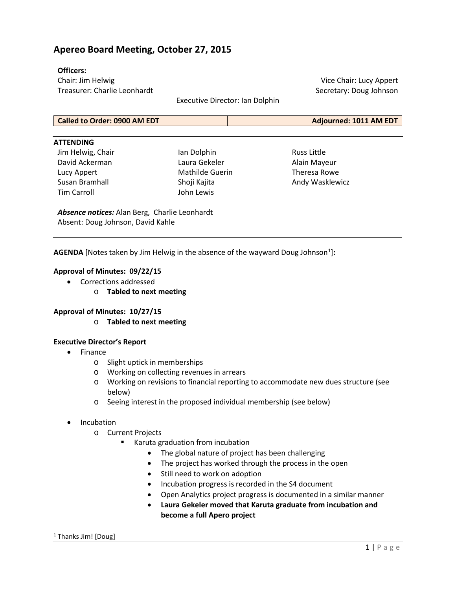# **Apereo Board Meeting, October 27, 2015**

### **Officers:**

Chair: Jim Helwig Treasurer: Charlie Leonhardt

Executive Director: Ian Dolphin

Vice Chair: Lucy Appert Secretary: Doug Johnson

| <b>Called to Order: 0900 AM EDT</b> | Adjourned: 1011 AM EDT |
|-------------------------------------|------------------------|
|                                     |                        |

#### **ATTENDING**

Jim Helwig, Chair David Ackerman Lucy Appert Susan Bramhall Tim Carroll

Ian Dolphin Laura Gekeler Mathilde Guerin Shoji Kajita John Lewis

Russ Little Alain Mayeur Theresa Rowe Andy Wasklewicz

*Absence notices:* Alan Berg, Charlie Leonhardt Absent: Doug Johnson, David Kahle

**AGENDA** [Notes taken by Jim Helwig in the absence of the wayward Doug Johnson<sup>[1](#page-0-0)</sup>]:

### **Approval of Minutes: 09/22/15**

- Corrections addressed
	- o **Tabled to next meeting**

### **Approval of Minutes: 10/27/15**

o **Tabled to next meeting**

#### **Executive Director's Report**

- Finance
	- o Slight uptick in memberships
	- o Working on collecting revenues in arrears
	- o Working on revisions to financial reporting to accommodate new dues structure (see below)
	- o Seeing interest in the proposed individual membership (see below)
- **Incubation** 
	- o Current Projects
		- Karuta graduation from incubation
			- The global nature of project has been challenging
			- The project has worked through the process in the open
			- Still need to work on adoption
			- Incubation progress is recorded in the S4 document
			- Open Analytics project progress is documented in a similar manner
			- **Laura Gekeler moved that Karuta graduate from incubation and become a full Apero project**

<span id="page-0-0"></span> $\overline{\phantom{a}}$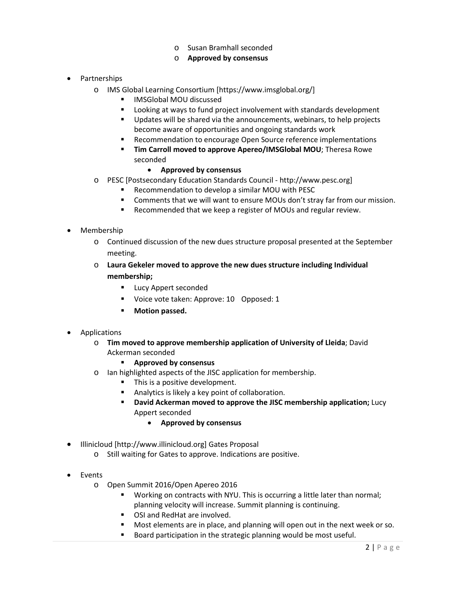o Susan Bramhall seconded

## o **Approved by consensus**

- Partnerships
	- o IMS Global Learning Consortium [https://www.imsglobal.org/]
		- **IMSGlobal MOU discussed**
		- **EXTE:** Looking at ways to fund project involvement with standards development
		- Updates will be shared via the announcements, webinars, to help projects become aware of opportunities and ongoing standards work
		- Recommendation to encourage Open Source reference implementations
		- **Tim Carroll moved to approve Apereo/IMSGlobal MOU**; Theresa Rowe seconded
			- **Approved by consensus**
	- o PESC [Postsecondary Education Standards Council http://www.pesc.org]
		- Recommendation to develop a similar MOU with PESC
		- Comments that we will want to ensure MOUs don't stray far from our mission.
		- Recommended that we keep a register of MOUs and regular review.
- Membership
	- o Continued discussion of the new dues structure proposal presented at the September meeting.
	- o **Laura Gekeler moved to approve the new dues structure including Individual membership;**
		- **Lucy Appert seconded**
		- Voice vote taken: Approve: 10 Opposed: 1
		- **Motion passed.**
- Applications
	- o **Tim moved to approve membership application of University of Lleida**; David Ackerman seconded
		- **Approved by consensus**
	- o Ian highlighted aspects of the JISC application for membership.
		- This is a positive development.
		- Analytics is likely a key point of collaboration.
		- **David Ackerman moved to approve the JISC membership application;** Lucy Appert seconded
			- **Approved by consensus**
- Illinicloud [http://www.illinicloud.org] Gates Proposal
	- o Still waiting for Gates to approve. Indications are positive.
- Events
	- o Open Summit 2016/Open Apereo 2016
		- **Working on contracts with NYU. This is occurring a little later than normal;** planning velocity will increase. Summit planning is continuing.
		- OSI and RedHat are involved.
		- Most elements are in place, and planning will open out in the next week or so.
		- Board participation in the strategic planning would be most useful.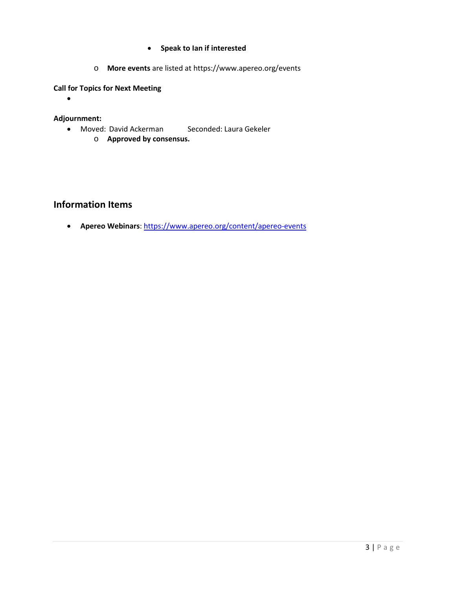- **Speak to Ian if interested**
- o **More events** are listed at <https://www.apereo.org/events>

# **Call for Topics for Next Meeting**

•

## **Adjournment:**

- Moved: David Ackerman Seconded: Laura Gekeler
	- o **Approved by consensus.**

# **Information Items**

• **Apereo Webinars**:<https://www.apereo.org/content/apereo-events>